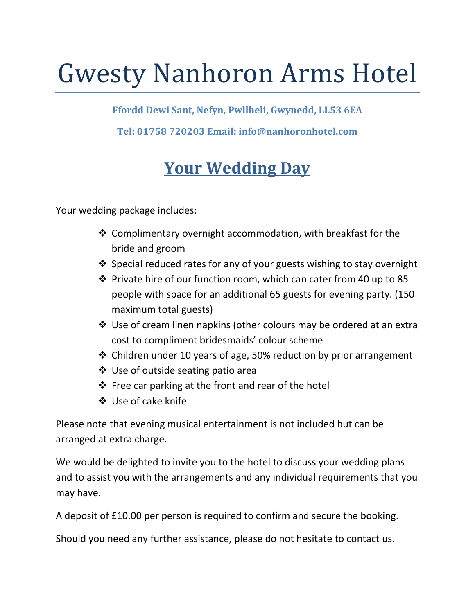# Gwesty Nanhoron Arms Hotel

**Ffordd Dewi Sant, Nefyn, Pwllheli, Gwynedd, LL53 6EA**

**Tel: 01758 720203 Email: info@nanhoronhotel.com**

## **Your Wedding Day**

Your wedding package includes:

- ❖ Complimentary overnight accommodation, with breakfast for the bride and groom
- $\cdot$  Special reduced rates for any of your guests wishing to stay overnight
- Private hire of our function room, which can cater from 40 up to 85 people with space for an additional 65 guests for evening party. (150 maximum total guests)
- Use of cream linen napkins (other colours may be ordered at an extra cost to compliment bridesmaids' colour scheme
- Children under 10 years of age, 50% reduction by prior arrangement
- ❖ Use of outside seating patio area
- $\triangle$  Free car parking at the front and rear of the hotel
- Use of cake knife

Please note that evening musical entertainment is not included but can be arranged at extra charge.

We would be delighted to invite you to the hotel to discuss your wedding plans and to assist you with the arrangements and any individual requirements that you may have.

A deposit of £10.00 per person is required to confirm and secure the booking.

Should you need any further assistance, please do not hesitate to contact us.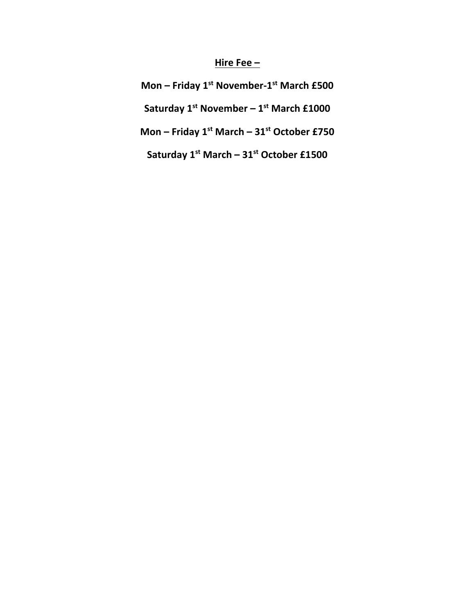#### **Hire Fee –**

**Mon – Friday 1st November-1st March £500**

**Saturday 1st November – 1st March £1000**

**Mon – Friday 1st March – 31st October £750**

**Saturday 1st March – 31st October £1500**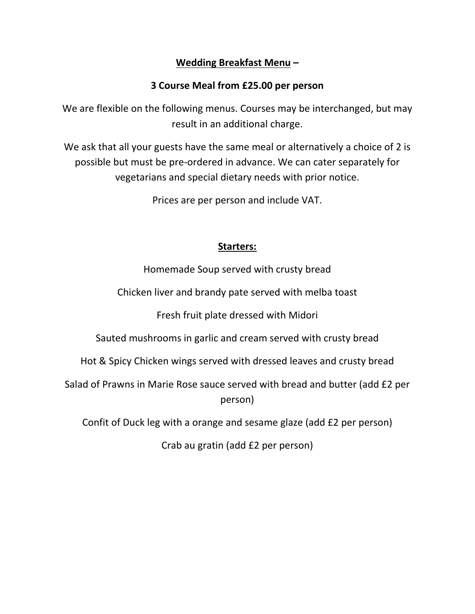#### **Wedding Breakfast Menu –**

#### **3 Course Meal from £25.00 per person**

We are flexible on the following menus. Courses may be interchanged, but may result in an additional charge.

We ask that all your guests have the same meal or alternatively a choice of 2 is possible but must be pre-ordered in advance. We can cater separately for vegetarians and special dietary needs with prior notice.

Prices are per person and include VAT.

#### **Starters:**

Homemade Soup served with crusty bread

Chicken liver and brandy pate served with melba toast

Fresh fruit plate dressed with Midori

Sauted mushrooms in garlic and cream served with crusty bread

Hot & Spicy Chicken wings served with dressed leaves and crusty bread

Salad of Prawns in Marie Rose sauce served with bread and butter (add £2 per person)

Confit of Duck leg with a orange and sesame glaze (add £2 per person)

Crab au gratin (add £2 per person)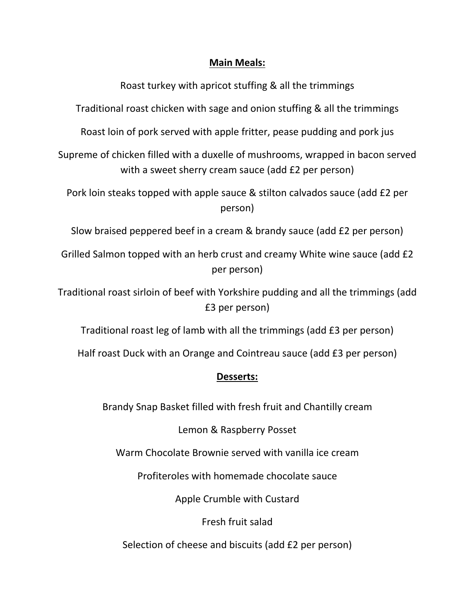#### **Main Meals:**

Roast turkey with apricot stuffing & all the trimmings

Traditional roast chicken with sage and onion stuffing & all the trimmings

Roast loin of pork served with apple fritter, pease pudding and pork jus

Supreme of chicken filled with a duxelle of mushrooms, wrapped in bacon served with a sweet sherry cream sauce (add £2 per person)

Pork loin steaks topped with apple sauce & stilton calvados sauce (add £2 per person)

Slow braised peppered beef in a cream & brandy sauce (add £2 per person)

Grilled Salmon topped with an herb crust and creamy White wine sauce (add £2 per person)

Traditional roast sirloin of beef with Yorkshire pudding and all the trimmings (add £3 per person)

Traditional roast leg of lamb with all the trimmings (add £3 per person)

Half roast Duck with an Orange and Cointreau sauce (add £3 per person)

#### **Desserts:**

Brandy Snap Basket filled with fresh fruit and Chantilly cream

Lemon & Raspberry Posset

Warm Chocolate Brownie served with vanilla ice cream

Profiteroles with homemade chocolate sauce

Apple Crumble with Custard

Fresh fruit salad

Selection of cheese and biscuits (add £2 per person)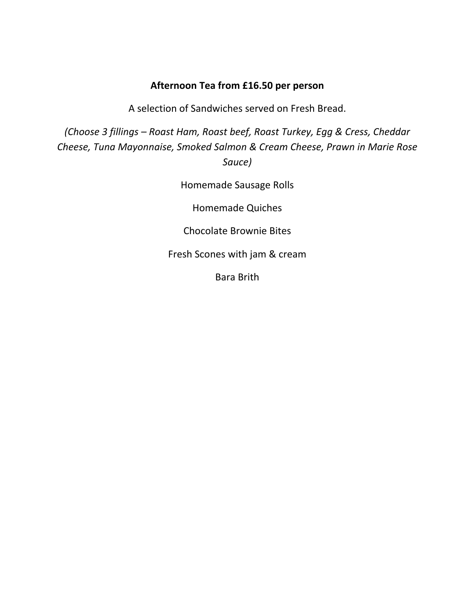#### **Afternoon Tea from £16.50 per person**

A selection of Sandwiches served on Fresh Bread.

*(Choose 3 fillings – Roast Ham, Roast beef, Roast Turkey, Egg & Cress, Cheddar Cheese, Tuna Mayonnaise, Smoked Salmon & Cream Cheese, Prawn in Marie Rose Sauce)*

Homemade Sausage Rolls

Homemade Quiches

Chocolate Brownie Bites

Fresh Scones with jam & cream

Bara Brith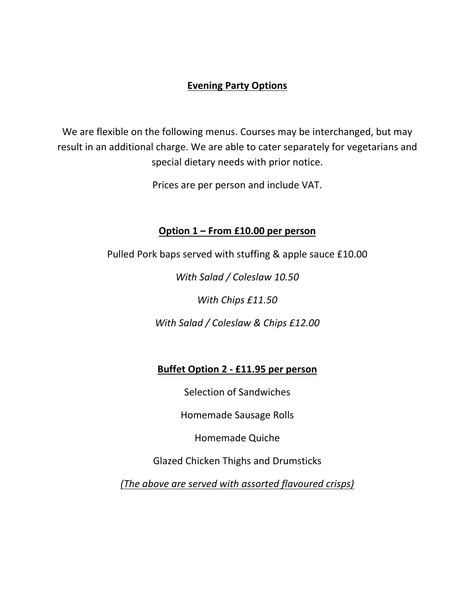#### **Evening Party Options**

We are flexible on the following menus. Courses may be interchanged, but may result in an additional charge. We are able to cater separately for vegetarians and special dietary needs with prior notice.

Prices are per person and include VAT.

#### **Option 1 – From £10.00 per person**

Pulled Pork baps served with stuffing & apple sauce £10.00

*With Salad / Coleslaw 10.50* 

*With Chips £11.50* 

*With Salad / Coleslaw & Chips £12.00* 

#### **Buffet Option 2 - £11.95 per person**

Selection of Sandwiches

Homemade Sausage Rolls

Homemade Quiche

Glazed Chicken Thighs and Drumsticks

*(The above are served with assorted flavoured crisps)*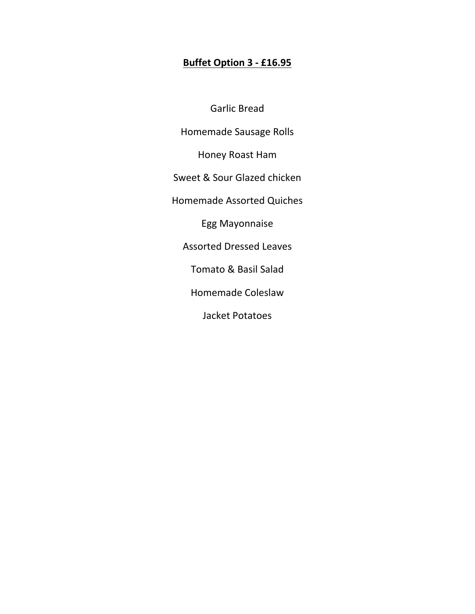#### **Buffet Option 3 - £16.95**

Garlic Bread

Homemade Sausage Rolls

Honey Roast Ham

Sweet & Sour Glazed chicken

Homemade Assorted Quiches

Egg Mayonnaise

Assorted Dressed Leaves

Tomato & Basil Salad

Homemade Coleslaw

Jacket Potatoes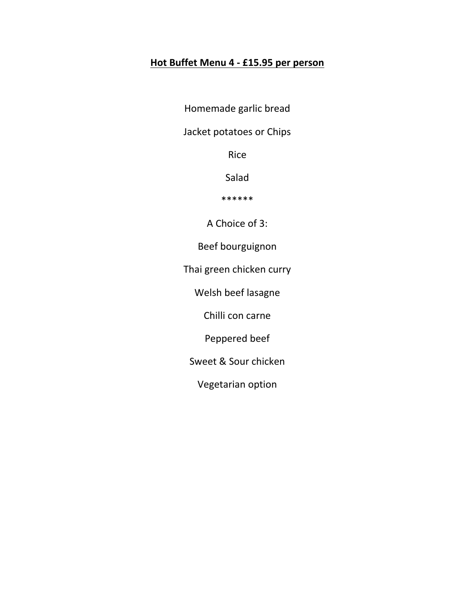### **Hot Buffet Menu 4 - £15.95 per person**

Homemade garlic bread

Jacket potatoes or Chips

Rice

Salad

\*\*\*\*\*\*

A Choice of 3:

Beef bourguignon

Thai green chicken curry

Welsh beef lasagne

Chilli con carne

Peppered beef

Sweet & Sour chicken

Vegetarian option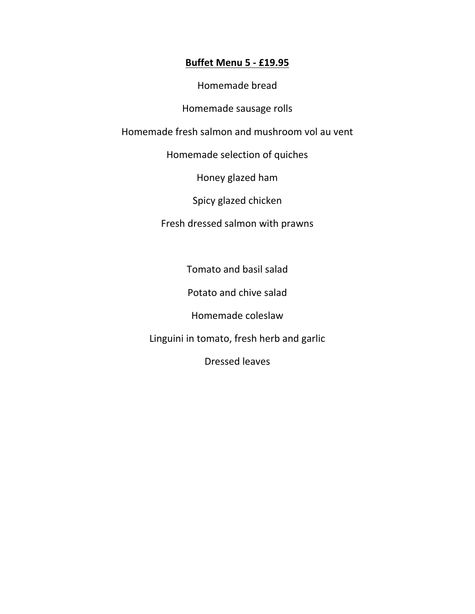#### **Buffet Menu 5 - £19.95**

Homemade bread

Homemade sausage rolls

Homemade fresh salmon and mushroom vol au vent

Homemade selection of quiches

Honey glazed ham

Spicy glazed chicken

Fresh dressed salmon with prawns

Tomato and basil salad

Potato and chive salad

Homemade coleslaw

Linguini in tomato, fresh herb and garlic

Dressed leaves